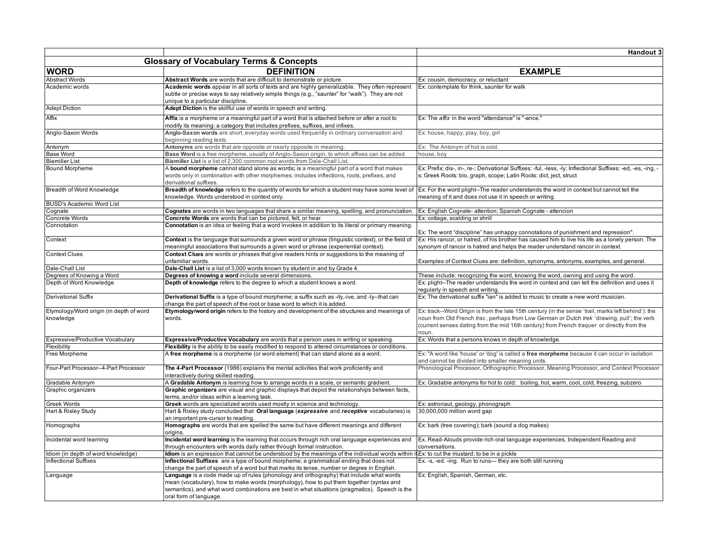|                                                      |                                                                                                                                                                                                                                                                                                                | Handout 3                                                                                                                                                                                                                                                                                                |
|------------------------------------------------------|----------------------------------------------------------------------------------------------------------------------------------------------------------------------------------------------------------------------------------------------------------------------------------------------------------------|----------------------------------------------------------------------------------------------------------------------------------------------------------------------------------------------------------------------------------------------------------------------------------------------------------|
| <b>Glossary of Vocabulary Terms &amp; Concepts</b>   |                                                                                                                                                                                                                                                                                                                |                                                                                                                                                                                                                                                                                                          |
| <b>WORD</b>                                          | <b>DEFINITION</b>                                                                                                                                                                                                                                                                                              | <b>EXAMPLE</b>                                                                                                                                                                                                                                                                                           |
| <b>Abstract Words</b>                                | Abstract Words are words that are difficult to demonstrate or picture.                                                                                                                                                                                                                                         | Ex: cousin, democracy, or reluctant                                                                                                                                                                                                                                                                      |
| Academic words                                       | Academic words appear in all sorts of texts and are highly generalizable. They often represent<br>subtle or precise ways to say relatively simple things (e.g., "saunter" for "walk"). They are not<br>unique to a particular discipline.                                                                      | Ex: contemplate for think, saunter for walk                                                                                                                                                                                                                                                              |
| <b>Adept Diction</b>                                 | Adept Diction is the skillful use of words in speech and writing.                                                                                                                                                                                                                                              |                                                                                                                                                                                                                                                                                                          |
| Affix                                                | Affix is a morpheme or a meaningful part of a word that is attached before or after a root to<br>modify its meaning: a category that includes prefixes, suffixes, and infixes.                                                                                                                                 | Ex: The affix in the word "attendance" is "-ance."                                                                                                                                                                                                                                                       |
| Anglo-Saxon Words                                    | Anglo-Saxon words are short, everyday words used frequently in ordinary conversation and<br>beginning reading texts.                                                                                                                                                                                           | Ex: house, happy, play, boy, girl                                                                                                                                                                                                                                                                        |
| Antonym                                              | Antonyms are words that are opposite or nearly opposite in meaning.                                                                                                                                                                                                                                            | Ex: The Antonym of hot is cold.                                                                                                                                                                                                                                                                          |
| <b>Base Word</b>                                     | Base Word is a free morpheme, usually of Anglo-Saxon origin, to which affixes can be added.                                                                                                                                                                                                                    | house, boy                                                                                                                                                                                                                                                                                               |
| <b>Biemiller List</b>                                | Biemiller List is a list of 2,300 common root words from Dale-Chall List.                                                                                                                                                                                                                                      |                                                                                                                                                                                                                                                                                                          |
| <b>Bound Morpheme</b>                                | A bound morpheme cannot stand alone as words; is a meaningful part of a word that makes<br>words only in combination with other morphemes; includes inflections, roots, prefixes, and<br>derivational suffixes.                                                                                                | Ex: Prefix: dis-, in-, re-; Derivational Suffixes: -ful, -less, -ly; Inflectional Suffixes: -ed, -es, -ing, -<br>s; Greek Roots: bio, graph, scope; Latin Roots: dict, ject, struct                                                                                                                      |
| Breadth of Word Knowledge                            | Breadth of knowledge refers to the quantity of words for which a student may have some level of Ex: For the word plight--The reader understands the word in context but cannot tell the<br>knowledge. Words understood in context only.                                                                        | meaning of it and does not use it in speech or writing.                                                                                                                                                                                                                                                  |
| <b>BUSD's Academic Word List</b>                     |                                                                                                                                                                                                                                                                                                                |                                                                                                                                                                                                                                                                                                          |
| Cognate                                              | Cognates are words in two languages that share a similar meaning, spelling, and pronunciation                                                                                                                                                                                                                  | Ex: English Cognate- attention; Spanish Cognate - attencion                                                                                                                                                                                                                                              |
| Concrete Words                                       | Concrete Words are words that can be pictured, felt, or hear.                                                                                                                                                                                                                                                  | Ex: cottage, scalding or shrill                                                                                                                                                                                                                                                                          |
| Connotation                                          | Connotation is an idea or feeling that a word invokes in addition to its literal or primary meaning.                                                                                                                                                                                                           | Ex: The word "discipline" has unhappy connotations of punishment and repression".                                                                                                                                                                                                                        |
| Context                                              | Context is the language that surrounds a given word or phrase (linguistic context), or the field of<br>meaningful associations that surrounds a given word or phrase (experiential context).                                                                                                                   | Ex: His rancor, or hatred, of his brother has caused him to live his life as a lonely person. The<br>synonym of rancor is hatred and helps the reader understand rancor in context.                                                                                                                      |
| <b>Context Clues</b>                                 | Context Clues are words or phrases that give readers hints or suggestions to the meaning of<br>unfamiliar words.                                                                                                                                                                                               | Examples of Context Clues are: definition, synonyms, antonyms, examples, and general.                                                                                                                                                                                                                    |
| Dale-Chall List                                      | Dale-Chall List is a list of 3,000 words known by student in and by Grade 4.                                                                                                                                                                                                                                   |                                                                                                                                                                                                                                                                                                          |
| Degrees of Knowing a Word                            | Degrees of knowing a word include several dimensions.                                                                                                                                                                                                                                                          | These include: recognizing the word, knowing the word, owning and using the word.                                                                                                                                                                                                                        |
| Depth of Word Knowledge                              | Depth of knowledge refers to the degree to which a student knows a word.                                                                                                                                                                                                                                       | Ex: plight--The reader understands the word in context and can tell the definition and uses it<br>regularly in speech and writing.                                                                                                                                                                       |
| Derivational Suffix                                  | Derivational Suffix is a type of bound morpheme; a suffix such as -ity,-ive, and -ly--that can<br>change the part of speech of the root or base word to which it is added.                                                                                                                                     | Ex: The derivational suffix "ian" is added to music to create a new word musician.                                                                                                                                                                                                                       |
| Etymology/Word origin (in depth of word<br>knowledge | Etymology/word origin refers to the history and development of the structures and meanings of<br>words.                                                                                                                                                                                                        | Ex: track--Word Origin is from the late 15th century (in the sense 'trail, marks left behind'): the<br>noun from Old French trac, perhaps from Low German or Dutch trek 'drawing, pull'; the verb<br>(current senses dating from the mid 16th century) from French traquer or directly from the<br>noun. |
| Expressive/Productive Vocabulary                     | <b>Expressive/Productive Vocabulary</b> are words that a person uses in writing or speaking.                                                                                                                                                                                                                   | Ex: Words that a persons knows in depth of knowledge.                                                                                                                                                                                                                                                    |
| Flexibility                                          | Flexibility is the ability to be easily modified to respond to altered circumstances or conditions.                                                                                                                                                                                                            |                                                                                                                                                                                                                                                                                                          |
| Free Morpheme                                        | A free morpheme is a morpheme (or word element) that can stand alone as a word.                                                                                                                                                                                                                                | Ex: "A word like 'house' or 'dog' is called a free morpheme because it can occur in isolation<br>and cannot be divided into smaller meaning units.                                                                                                                                                       |
| Four-Part Processor--4-Part Processor                | The 4-Part Processor (1986) explains the mental activities that work proficiently and<br>nteractively during skilled reading.                                                                                                                                                                                  | Phonological Processor, Orthographic Processor, Meaning Processor, and Context Processor                                                                                                                                                                                                                 |
| Gradable Antonym                                     | A Gradable Antonym is learning how to arrange words in a scale, or semantic gradient.                                                                                                                                                                                                                          | Ex: Gradable antonyms for hot to cold: boiling, hot, warm, cool, cold, freezing, subzero                                                                                                                                                                                                                 |
| Graphic organizers                                   | Graphic organizers are visual and graphic displays that depict the relationships between facts,<br>terms, and/or ideas within a learning task.                                                                                                                                                                 |                                                                                                                                                                                                                                                                                                          |
| <b>Greek Words</b>                                   | Greek words are specialized words used mostly in science and technology.                                                                                                                                                                                                                                       | Ex: astronaut, geology, phonograph                                                                                                                                                                                                                                                                       |
| Hart & Risley Study                                  | Hart & Risley study concluded that Oral language (expressive and receptive vocabularies) is<br>an important pre-cursor to reading.                                                                                                                                                                             | 30,000,000 million word gap                                                                                                                                                                                                                                                                              |
| Homographs                                           | Homographs are words that are spelled the same but have different meanings and different<br>origins.                                                                                                                                                                                                           | Ex: bark (tree covering); bark (sound a dog makes)                                                                                                                                                                                                                                                       |
| Incidental word learning                             | Incidental word learning is the learning that occurs through rich oral language experiences and<br>through encounters with words daily rather through formal instruction.                                                                                                                                      | Ex. Read-Alouds provide rich oral language experiences, Independent Reading and<br>conversations.                                                                                                                                                                                                        |
| Idiom (in depth of word knowledge)                   | Idiom is an expression that cannot be understood by the meanings of the individual words within it Ex: to cut the mustard; to be in a pickle                                                                                                                                                                   |                                                                                                                                                                                                                                                                                                          |
| <b>Inflectional Suffixes</b>                         | Inflectional Suffixes are a type of bound morpheme; a grammatical ending that does not<br>change the part of speech of a word but that marks its tense, number or degree in English.                                                                                                                           | Ex. -s, -ed. -ing. Run to runs--- they are both still running                                                                                                                                                                                                                                            |
| Language                                             | Language is a code made up of rules (phonology and orthography) that include what words<br>mean (vocabulary), how to make words (morphology), how to put them together (syntax and<br>semantics), and what word combinations are best in what situations (pragmatics). Speech is the<br>oral form of language. | Ex: English, Spanish, German, etc.                                                                                                                                                                                                                                                                       |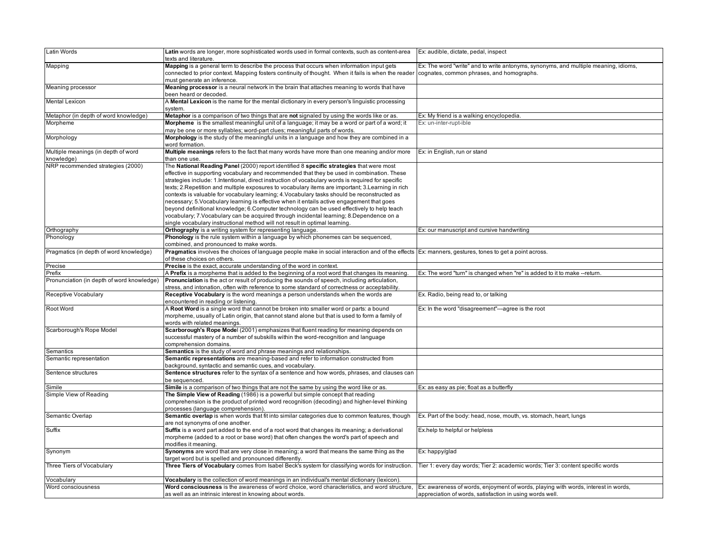| Latin Words                                | Latin words are longer, more sophisticated words used in formal contexts, such as content-area<br>texts and literature.                              | Ex: audible, dictate, pedal, inspect                                                |
|--------------------------------------------|------------------------------------------------------------------------------------------------------------------------------------------------------|-------------------------------------------------------------------------------------|
| Mapping                                    | Mapping is a general term to describe the process that occurs when information input gets                                                            | Ex: The word "write" and to write antonyms, synonyms, and multiple meaning, idioms, |
|                                            | connected to prior context. Mapping fosters continuity of thought. When it fails is when the reader                                                  | cognates, common phrases, and homographs.                                           |
|                                            | must generate an inference.                                                                                                                          |                                                                                     |
| Meaning processor                          | Meaning processor is a neural network in the brain that attaches meaning to words that have                                                          |                                                                                     |
|                                            | been heard or decoded.                                                                                                                               |                                                                                     |
| <b>Mental Lexicon</b>                      | A Mental Lexicon is the name for the mental dictionary in every person's linguistic processing                                                       |                                                                                     |
|                                            | system.                                                                                                                                              |                                                                                     |
| Metaphor (in depth of word knowledge)      | Metaphor is a comparison of two things that are not signaled by using the words like or as.                                                          | Ex: My friend is a walking encyclopedia                                             |
| Morpheme                                   | Morpheme is the smallest meaningful unit of a language; it may be a word or part of a word; it                                                       | Ex: un-inter-rupt-ible                                                              |
|                                            | may be one or more syllables; word-part clues; meaningful parts of words.                                                                            |                                                                                     |
| Morphology                                 | Morphology is the study of the meaningful units in a language and how they are combined in a                                                         |                                                                                     |
|                                            | word formation.                                                                                                                                      |                                                                                     |
| Multiple meanings (in depth of word        | Multiple meanings refers to the fact that many words have more than one meaning and/or more                                                          | Ex: in English, run or stand                                                        |
| knowledge)                                 | than one use                                                                                                                                         |                                                                                     |
| NRP recommended strategies (2000)          | The National Reading Panel (2000) report identified 8 specific strategies that were most                                                             |                                                                                     |
|                                            |                                                                                                                                                      |                                                                                     |
|                                            | effective in supporting vocabulary and recommended that they be used in combination. These                                                           |                                                                                     |
|                                            | strategies include: 1.Intentional, direct instruction of vocabulary words is required for specific                                                   |                                                                                     |
|                                            | texts; 2. Repetition and multiple exposures to vocabulary items are important; 3. Learning in rich                                                   |                                                                                     |
|                                            | contexts is valuable for vocabulary learning; 4. Vocabulary tasks should be reconstructed as                                                         |                                                                                     |
|                                            | necessary; 5.Vocabulary learning is effective when it entails active engagement that goes                                                            |                                                                                     |
|                                            | beyond definitional knowledge; 6.Computer technology can be used effectively to help teach                                                           |                                                                                     |
|                                            | vocabulary; 7. Vocabulary can be acquired through incidental learning; 8. Dependence on a                                                            |                                                                                     |
|                                            | single vocabulary instructional method will not result in optimal learning.                                                                          |                                                                                     |
| Orthography                                | Orthography is a writing system for representing language.                                                                                           | Ex: our manuscript and cursive handwriting                                          |
| Phonology                                  | Phonology is the rule system within a language by which phonemes can be sequenced,                                                                   |                                                                                     |
|                                            | combined, and pronounced to make words.                                                                                                              |                                                                                     |
| Pragmatics (in depth of word knowledge)    | Pragmatics involves the choices of language people make in social interaction and of the effects Ex: manners, gestures, tones to get a point across. |                                                                                     |
|                                            | of these choices on others.                                                                                                                          |                                                                                     |
| Precise                                    | Precise is the exact, accurate understanding of the word in context.                                                                                 |                                                                                     |
| Prefix                                     | A Prefix is a morpheme that is added to the beginning of a root word that changes its meaning                                                        | Ex: The word "turn" is changed when "re" is added to it to make --return.           |
| Pronunciation (in depth of word knowledge) | <b>Pronunciation</b> is the act or result of producing the sounds of speech, including articulation,                                                 |                                                                                     |
|                                            | stress, and intonation, often with reference to some standard of correctness or acceptability.                                                       |                                                                                     |
| Receptive Vocabulary                       | Receptive Vocabulary is the word meanings a person understands when the words are                                                                    | Ex. Radio, being read to, or talking                                                |
|                                            | encountered in reading or listening.                                                                                                                 |                                                                                     |
| Root Word                                  | A Root Word is a single word that cannot be broken into smaller word or parts: a bound                                                               | Ex: In the word "disagreement"---agree is the root                                  |
|                                            | morpheme, usually of Latin origin, that cannot stand alone but that is used to form a family of                                                      |                                                                                     |
|                                            | words with related meanings.                                                                                                                         |                                                                                     |
| Scarborough's Rope Model                   | Scarborough's Rope Model (2001) emphasizes that fluent reading for meaning depends on                                                                |                                                                                     |
|                                            | successful mastery of a number of subskills within the word-recognition and language                                                                 |                                                                                     |
|                                            | comprehension domains.                                                                                                                               |                                                                                     |
| Semantics                                  | Semantics is the study of word and phrase meanings and relationships.                                                                                |                                                                                     |
| Semantic representation                    | Semantic representations are meaning-based and refer to information constructed from                                                                 |                                                                                     |
|                                            | ackground, syntactic and semantic cues, and vocabulary                                                                                               |                                                                                     |
| Sentence structures                        | Sentence structures refer to the syntax of a sentence and how words, phrases, and clauses can                                                        |                                                                                     |
|                                            | be sequenced.                                                                                                                                        |                                                                                     |
| Simile                                     | Simile is a comparison of two things that are not the same by using the word like or as.                                                             | Ex: as easy as pie; float as a butterfly                                            |
| Simple View of Reading                     | The Simple View of Reading (1986) is a powerful but simple concept that reading                                                                      |                                                                                     |
|                                            | comprehension is the product of printed word recognition (decoding) and higher-level thinking                                                        |                                                                                     |
|                                            | processes (language comprehension).                                                                                                                  |                                                                                     |
| Semantic Overlap                           | Semantic overlap is when words that fit into similar categories due to common features, though                                                       | Ex. Part of the body: head, nose, mouth, vs. stomach, heart, lungs                  |
|                                            | are not synonyms of one another.                                                                                                                     |                                                                                     |
| Suffix                                     | Suffix is a word part added to the end of a root word that changes its meaning; a derivational                                                       | Ex.help to helpful or helpless                                                      |
|                                            | morpheme (added to a root or base word) that often changes the word's part of speech and                                                             |                                                                                     |
|                                            | modifies it meaning.                                                                                                                                 |                                                                                     |
| Synonym                                    | Synonyms are word that are very close in meaning; a word that means the same thing as the                                                            | Ex: happy/glad                                                                      |
|                                            | target word but is spelled and pronounced differently.                                                                                               |                                                                                     |
| Three Tiers of Vocabulary                  | Three Tiers of Vocabulary comes from Isabel Beck's system for classifying words for instruction.                                                     | Tier 1: every day words; Tier 2: academic words; Tier 3: content specific words     |
|                                            |                                                                                                                                                      |                                                                                     |
| Vocabulary                                 | Vocabulary is the collection of word meanings in an individual's mental dictionary (lexicon)                                                         |                                                                                     |
| Word consciousness                         | Word consciousness is the awareness of word choice, word characteristics, and word structure,                                                        | Ex: awareness of words, enjoyment of words, playing with words, interest in words,  |
|                                            | as well as an intrinsic interest in knowing about words.                                                                                             | appreciation of words, satisfaction in using words well.                            |
|                                            |                                                                                                                                                      |                                                                                     |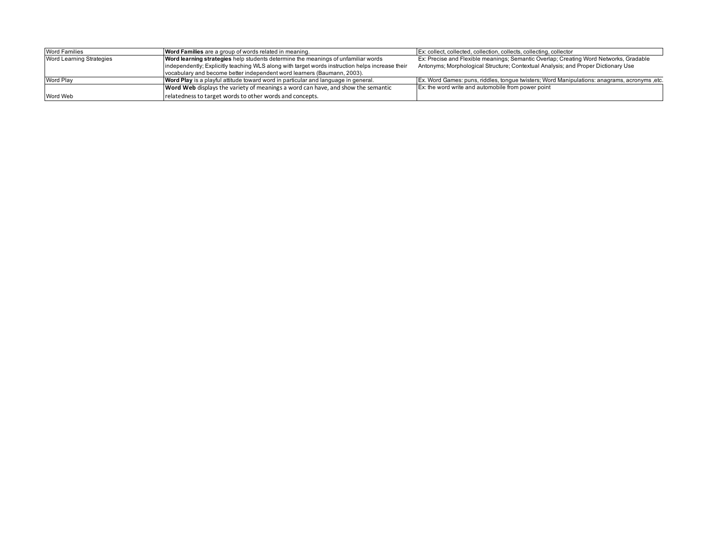| <b>Word Families</b>     | Word Families are a group of words related in meaning.                                          | Ex: collect, collected, collection, collects, collecting, collector                          |
|--------------------------|-------------------------------------------------------------------------------------------------|----------------------------------------------------------------------------------------------|
| Word Learning Strategies | Word learning strategies help students determine the meanings of unfamiliar words               | Ex: Precise and Flexible meanings; Semantic Overlap; Creating Word Networks, Gradable        |
|                          | independently; Explicitly teaching WLS along with target words instruction helps increase their | Antonyms; Morphological Structure; Contextual Analysis; and Proper Dictionary Use            |
|                          | vocabulary and become better independent word learners (Baumann, 2003).                         |                                                                                              |
| Word Play                | Word Play is a playful attitude toward word in particular and language in general.              | Ex. Word Games: puns, riddles, tongue twisters; Word Manipulations: anagrams, acronyms, etc. |
|                          | Word Web displays the variety of meanings a word can have, and show the semantic                | Ex: the word write and automobile from power point                                           |
| Word Web                 | relatedness to target words to other words and concepts.                                        |                                                                                              |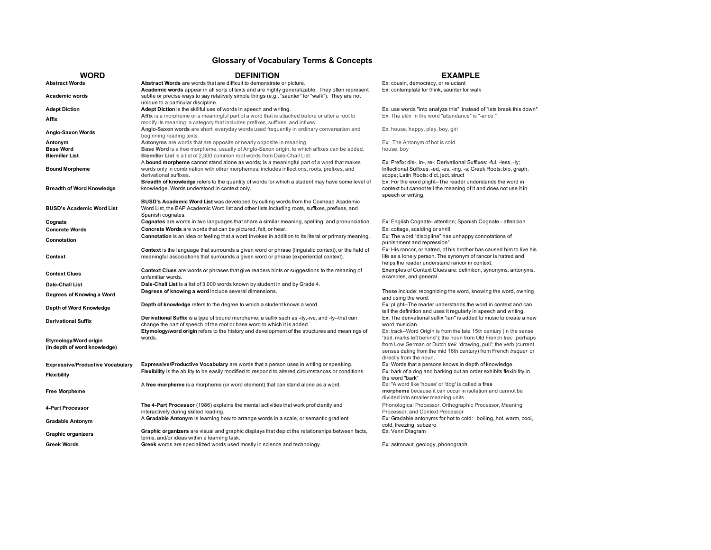## **Glossary of Vocabulary Terms & Concepts**

| <b>WORD</b>                                           | <b>DEFINITION</b>                                                                                                                                                                                                                                                           | <b>EXAMPLE</b>                                                                                                                                                                                                                        |
|-------------------------------------------------------|-----------------------------------------------------------------------------------------------------------------------------------------------------------------------------------------------------------------------------------------------------------------------------|---------------------------------------------------------------------------------------------------------------------------------------------------------------------------------------------------------------------------------------|
| <b>Abstract Words</b>                                 | Abstract Words are words that are difficult to demonstrate or picture.                                                                                                                                                                                                      | Ex: cousin, democracy, or reluctant                                                                                                                                                                                                   |
| <b>Academic words</b>                                 | Academic words appear in all sorts of texts and are highly generalizable. They often represent<br>subtle or precise ways to say relatively simple things (e.g., "saunter" for "walk"). They are not<br>unique to a particular discipline.                                   | Ex: contemplate for think, saunter for walk                                                                                                                                                                                           |
| <b>Adept Diction</b>                                  | Adept Diction is the skillful use of words in speech and writing.                                                                                                                                                                                                           | Ex: use words "into analyze this" instead of "lets break this down"                                                                                                                                                                   |
|                                                       | Affix is a morpheme or a meaningful part of a word that is attached before or after a root to                                                                                                                                                                               | Ex: The affix in the word "attendance" is "-ance."                                                                                                                                                                                    |
| Affix                                                 | modify its meaning: a category that includes prefixes, suffixes, and infixes.                                                                                                                                                                                               |                                                                                                                                                                                                                                       |
| Anglo-Saxon Words                                     | Anglo-Saxon words are short, everyday words used frequently in ordinary conversation and<br>beginning reading texts.                                                                                                                                                        | Ex: house, happy, play, boy, girl                                                                                                                                                                                                     |
| Antonym                                               | Antonyms are words that are opposite or nearly opposite in meaning.                                                                                                                                                                                                         | Ex: The Antonym of hot is cold.                                                                                                                                                                                                       |
| <b>Base Word</b>                                      | Base Word is a free morpheme, usually of Anglo-Saxon origin, to which affixes can be added.                                                                                                                                                                                 | house, boy                                                                                                                                                                                                                            |
| <b>Biemiller List</b>                                 | Biemiller List is a list of 2,300 common root words from Dale-Chall List.<br>A bound morpheme cannot stand alone as words; is a meaningful part of a word that makes                                                                                                        | Ex: Prefix: dis-, in-, re-; Derivational Suffixes: -ful, -less, -ly;                                                                                                                                                                  |
| <b>Bound Morpheme</b>                                 | words only in combination with other morphemes; includes inflections, roots, prefixes, and<br>derivational suffixes.                                                                                                                                                        | Inflectional Suffixes: -ed, -es, -ing, -s; Greek Roots: bio, graph,<br>scope; Latin Roots: dict, ject, struct                                                                                                                         |
| <b>Breadth of Word Knowledge</b>                      | Breadth of knowledge refers to the quantity of words for which a student may have some level of<br>knowledge. Words understood in context only.                                                                                                                             | Ex: For the word plight--The reader understands the word in<br>context but cannot tell the meaning of it and does not use it in<br>speech or writing.                                                                                 |
| <b>BUSD's Academic Word List</b>                      | BUSD's Academic Word List was developed by culling words from the Coxhead Academic<br>Word List, the EAP Academic Word list and other lists including roots, suffixes, prefixes, and<br>Spanish cognates.                                                                   |                                                                                                                                                                                                                                       |
| Cognate                                               | Cognates are words in two languages that share a similar meaning, spelling, and pronunciation.                                                                                                                                                                              | Ex: English Cognate- attention; Spanish Cognate - attencion                                                                                                                                                                           |
| <b>Concrete Words</b>                                 | Concrete Words are words that can be pictured, felt, or hear.                                                                                                                                                                                                               | Ex: cottage, scalding or shrill                                                                                                                                                                                                       |
| Connotation                                           | Connotation is an idea or feeling that a word invokes in addition to its literal or primary meaning.                                                                                                                                                                        | Ex: The word "discipline" has unhappy connotations of<br>punishment and repression".                                                                                                                                                  |
| Context                                               | Context is the language that surrounds a given word or phrase (linguistic context), or the field of<br>meaningful associations that surrounds a given word or phrase (experiential context).                                                                                | Ex: His rancor, or hatred, of his brother has caused him to live his<br>life as a lonely person. The synonym of rancor is hatred and<br>helps the reader understand rancor in context.                                                |
| <b>Context Clues</b>                                  | <b>Context Clues</b> are words or phrases that give readers hints or suggestions to the meaning of<br>unfamiliar words.                                                                                                                                                     | Examples of Context Clues are: definition, synonyms, antonyms,<br>examples, and general.                                                                                                                                              |
| Dale-Chall List                                       | Dale-Chall List is a list of 3,000 words known by student in and by Grade 4.                                                                                                                                                                                                |                                                                                                                                                                                                                                       |
| Degrees of Knowing a Word                             | Degrees of knowing a word include several dimensions.                                                                                                                                                                                                                       | These include: recognizing the word, knowing the word, owning<br>and using the word.                                                                                                                                                  |
| Depth of Word Knowledge                               | Depth of knowledge refers to the degree to which a student knows a word.                                                                                                                                                                                                    | Ex: plight--The reader understands the word in context and can<br>tell the definition and uses it regularly in speech and writing.                                                                                                    |
| <b>Derivational Suffix</b>                            | Derivational Suffix is a type of bound morpheme; a suffix such as -ity,-ive, and -ly--that can<br>change the part of speech of the root or base word to which it is added.<br>Etymology/word origin refers to the history and development of the structures and meanings of | Ex: The derivational suffix "ian" is added to music to create a new<br>word musician.<br>Ex: track--Word Origin is from the late 15th century (in the sense                                                                           |
| Etymology/Word origin<br>(in depth of word knowledge) | words.                                                                                                                                                                                                                                                                      | 'trail, marks left behind'): the noun from Old French trac, perhaps<br>from Low German or Dutch trek 'drawing, pull'; the verb (current<br>senses dating from the mid 16th century) from French traquer or<br>directly from the noun. |
| <b>Expressive/Productive Vocabulary</b>               | <b>Expressive/Productive Vocabulary</b> are words that a person uses in writing or speaking.                                                                                                                                                                                | Ex: Words that a persons knows in depth of knowledge.                                                                                                                                                                                 |
| <b>Flexibility</b>                                    | Flexibility is the ability to be easily modified to respond to altered circumstances or conditions.                                                                                                                                                                         | Ex: bark of a dog and barking out an order exhibits flexibility in<br>the word "bark"                                                                                                                                                 |
| <b>Free Morpheme</b>                                  | A free morpheme is a morpheme (or word element) that can stand alone as a word.                                                                                                                                                                                             | Ex: "A word like 'house' or 'dog' is called a free<br>morpheme because it can occur in isolation and cannot be<br>divided into smaller meaning units.                                                                                 |
| <b>4-Part Processor</b>                               | The 4-Part Processor (1986) explains the mental activities that work proficiently and<br>interactively during skilled reading.                                                                                                                                              | Phonological Processor, Orthographic Processor, Meaning<br>Processor, and Context Processor                                                                                                                                           |
| <b>Gradable Antonym</b>                               | A Gradable Antonym is learning how to arrange words in a scale, or semantic gradient.                                                                                                                                                                                       | Ex: Gradable antonyms for hot to cold: boiling, hot, warm, cool,<br>cold, freezing, subzero                                                                                                                                           |
| <b>Graphic organizers</b>                             | Graphic organizers are visual and graphic displays that depict the relationships between facts,<br>terms, and/or ideas within a learning task.                                                                                                                              | Ex: Venn Diagram                                                                                                                                                                                                                      |
| <b>Greek Words</b>                                    | Greek words are specialized words used mostly in science and technology.                                                                                                                                                                                                    | Ex: astronaut, geology, phonograph                                                                                                                                                                                                    |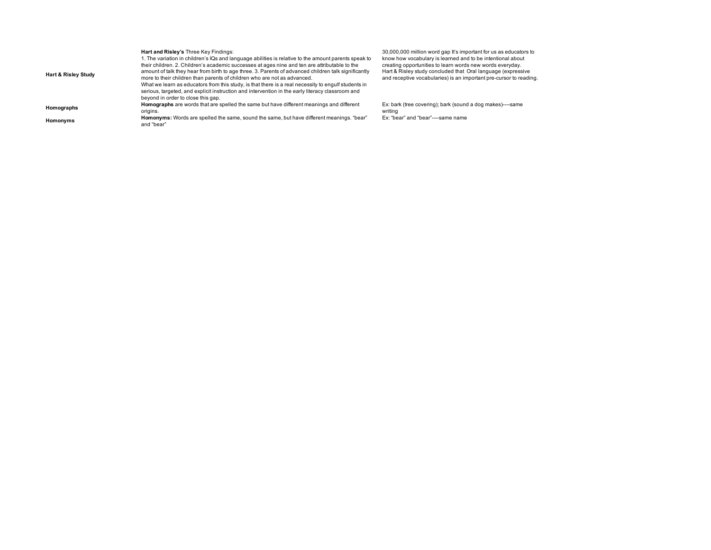| <b>Hart &amp; Risley Study</b> | Hart and Risley's Three Key Findings:<br>1. The variation in children's IQs and language abilities is relative to the amount parents speak to<br>their children. 2. Children's academic successes at ages nine and ten are attributable to the<br>amount of talk they hear from birth to age three. 3. Parents of advanced children talk significantly<br>more to their children than parents of children who are not as advanced.<br>What we learn as educators from this study, is that there is a real necessity to engulf students in<br>serious, targeted, and explicit instruction and intervention in the early literacy classroom and<br>bevond in order to close this gap. | 30.1<br>kno<br>crea<br>Har<br>and |
|--------------------------------|-------------------------------------------------------------------------------------------------------------------------------------------------------------------------------------------------------------------------------------------------------------------------------------------------------------------------------------------------------------------------------------------------------------------------------------------------------------------------------------------------------------------------------------------------------------------------------------------------------------------------------------------------------------------------------------|-----------------------------------|
| Homographs                     | Homographs are words that are spelled the same but have different meanings and different<br>origins.                                                                                                                                                                                                                                                                                                                                                                                                                                                                                                                                                                                | Ex:<br>writ                       |
| Homonyms                       | Homonyms: Words are spelled the same, sound the same, but have different meanings. "bear"<br>and "bear"                                                                                                                                                                                                                                                                                                                                                                                                                                                                                                                                                                             | Ex:                               |

30,000,000 million word gap It's important for us as educators to<br>know how vocabulary is learned and to be intentional about<br>creating opportunities to learn words new words everyday.<br>Hart & Risley study concluded that Oral

bark (tree covering); bark (sound a dog makes)----same writing Ex: "bear" and "bear"----same name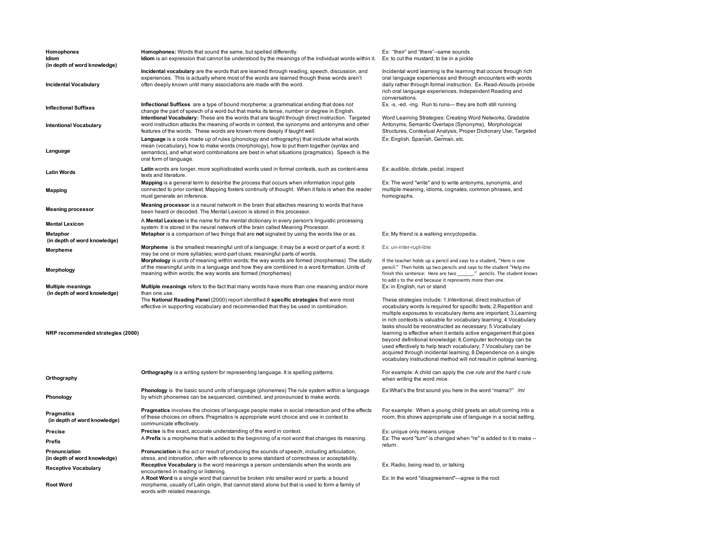| Homophones<br>Idiom<br>(in depth of word knowledge)      | Homophones: Words that sound the same, but spelled differently.<br><b>Idiom</b> is an expression that cannot be understood by the meanings of the individual words within it.                                                                                                                                  | Ex: "their" and "there"--same sounds<br>Ex: to cut the mustard; to be in a pickle                                                                                                                                                                                                                                                                                                                                                                                                                                                                                                                                                                                                              |
|----------------------------------------------------------|----------------------------------------------------------------------------------------------------------------------------------------------------------------------------------------------------------------------------------------------------------------------------------------------------------------|------------------------------------------------------------------------------------------------------------------------------------------------------------------------------------------------------------------------------------------------------------------------------------------------------------------------------------------------------------------------------------------------------------------------------------------------------------------------------------------------------------------------------------------------------------------------------------------------------------------------------------------------------------------------------------------------|
| Incidental Vocabulary                                    | Incidental vocabulary are the words that are learned through reading, speech, discussion, and<br>experiences. This is actually where most of the words are learned though these words aren't<br>often deeply known until many associations are made with the word.                                             | Incidental word learning is the learning that occurs through rich<br>oral language experiences and through encounters with words<br>daily rather through formal instruction. Ex. Read-Alouds provide<br>rich oral language experiences, Independent Reading and<br>conversations.                                                                                                                                                                                                                                                                                                                                                                                                              |
| Inflectional Suffixes                                    | Inflectional Suffixes are a type of bound morpheme; a grammatical ending that does not<br>change the part of speech of a word but that marks its tense, number or degree in English.<br>Intentional Vocabulary: These are the words that are taught through direct instruction. Targeted                       | Ex. -s, -ed. -ing. Run to runs--- they are both still running<br>Word Learning Strategies: Creating Word Networks, Gradable                                                                                                                                                                                                                                                                                                                                                                                                                                                                                                                                                                    |
| Intentional Vocabulary                                   | word instruction attacks the meaning of words in context, the synonyms and antonyms and other<br>features of the words. These words are known more deeply if taught well.                                                                                                                                      | Antonyms, Semantic Overlaps (Synonyms), Morphological<br>Structures, Contextual Analysis, Proper Dictionary Use; Targeted                                                                                                                                                                                                                                                                                                                                                                                                                                                                                                                                                                      |
| Language                                                 | Language is a code made up of rules (phonology and orthography) that include what words<br>mean (vocabulary), how to make words (morphology), how to put them together (syntax and<br>semantics), and what word combinations are best in what situations (pragmatics). Speech is the<br>oral form of language. | Ex: English, Spanish, German, etc.                                                                                                                                                                                                                                                                                                                                                                                                                                                                                                                                                                                                                                                             |
| Latin Words                                              | Latin words are longer, more sophisticated words used in formal contexts, such as content-area<br>texts and literature.                                                                                                                                                                                        | Ex: audible, dictate, pedal, inspect                                                                                                                                                                                                                                                                                                                                                                                                                                                                                                                                                                                                                                                           |
| <b>Mapping</b>                                           | <b>Mapping</b> is a general term to describe the process that occurs when information input gets<br>connected to prior context. Mapping fosters continuity of thought. When it fails is when the reader<br>must generate an inference.                                                                         | Ex: The word "write" and to write antonyms, synonyms, and<br>multiple meaning, idioms, cognates, common phrases, and<br>homographs.                                                                                                                                                                                                                                                                                                                                                                                                                                                                                                                                                            |
| <b>Meaning processor</b>                                 | Meaning processor is a neural network in the brain that attaches meaning to words that have<br>been heard or decoded. The Mental Lexicon is stored in this processor.                                                                                                                                          |                                                                                                                                                                                                                                                                                                                                                                                                                                                                                                                                                                                                                                                                                                |
| <b>Mental Lexicon</b>                                    | A Mental Lexicon is the name for the mental dictionary in every person's linguistic processing<br>system. It is stored in the neural network of the brain called Meaning Processor.                                                                                                                            |                                                                                                                                                                                                                                                                                                                                                                                                                                                                                                                                                                                                                                                                                                |
| Metaphor<br>(in depth of word knowledge)                 | Metaphor is a comparison of two things that are not signaled by using the words like or as.                                                                                                                                                                                                                    | Ex: My friend is a walking encyclopedia.                                                                                                                                                                                                                                                                                                                                                                                                                                                                                                                                                                                                                                                       |
| Morpheme                                                 | <b>Morpheme</b> is the smallest meaningful unit of a language; it may be a word or part of a word; it<br>may be one or more syllables; word-part clues; meaningful parts of words.                                                                                                                             | Ex: un-inter-rupt-ible                                                                                                                                                                                                                                                                                                                                                                                                                                                                                                                                                                                                                                                                         |
| Morphology                                               | Morphology is units of meaning within words; the way words are formed (morphemes) The study<br>of the meaningful units in a language and how they are combined in a word formation. Units of<br>meaning within words; the way words are formed (morphemes)                                                     | If the teacher holds up a pencil and says to a student, "Here is one<br>pencil." Then holds up two pencils and says to the student "Help me<br>finish this sentence: Here are two ______." pencils. The student knows<br>to add s to the end because it represents more than one.                                                                                                                                                                                                                                                                                                                                                                                                              |
| <b>Multiple meanings</b><br>(in depth of word knowledge) | Multiple meanings refers to the fact that many words have more than one meaning and/or more<br>than one use.                                                                                                                                                                                                   | Ex: in English, run or stand                                                                                                                                                                                                                                                                                                                                                                                                                                                                                                                                                                                                                                                                   |
| NRP recommended strategies (2000)                        | The National Reading Panel (2000) report identified 8 specific strategies that were most<br>effective in supporting vocabulary and recommended that they be used in combination.                                                                                                                               | These strategies include: 1.Intentional, direct instruction of<br>vocabulary words is required for specific texts; 2. Repetition and<br>multiple exposures to vocabulary items are important; 3. Learning<br>in rich contexts is valuable for vocabulary learning; 4. Vocabulary<br>tasks should be reconstructed as necessary; 5. Vocabulary<br>learning is effective when it entails active engagement that goes<br>beyond definitional knowledge; 6.Computer technology can be<br>used effectively to help teach vocabulary; 7. Vocabulary can be<br>acquired through incidental learning; 8.Dependence on a single<br>vocabulary instructional method will not result in optimal learning. |
| Orthography                                              | <b>Orthography</b> is a writing system for representing language. It is spelling patterns.                                                                                                                                                                                                                     | For example: A child can apply the cve rule and the hard c rule<br>when writing the word mice.                                                                                                                                                                                                                                                                                                                                                                                                                                                                                                                                                                                                 |
| Phonology                                                | Phonology is the basic sound units of language (phonemes) The rule system within a language<br>by which phonemes can be sequenced, combined, and pronounced to make words.                                                                                                                                     | Ex: What's the first sound you here in the word "mama?" /m/                                                                                                                                                                                                                                                                                                                                                                                                                                                                                                                                                                                                                                    |
| Pragmatics<br>(in depth of word knowledge)               | Pragmatics involves the choices of language people make in social interaction and of the effects<br>of these choices on others. Pragmatics is appropriate word choice and use in context to<br>communicate effectively.                                                                                        | For example: When a young child greets an adult coming into a<br>room, this shows appropriate use of language in a social setting.                                                                                                                                                                                                                                                                                                                                                                                                                                                                                                                                                             |
| Precise                                                  | Precise is the exact, accurate understanding of the word in context.                                                                                                                                                                                                                                           | Ex: unique only means unique                                                                                                                                                                                                                                                                                                                                                                                                                                                                                                                                                                                                                                                                   |
| Prefix                                                   | A Prefix is a morpheme that is added to the beginning of a root word that changes its meaning.                                                                                                                                                                                                                 | Ex: The word "turn" is changed when "re" is added to it to make --<br>return.                                                                                                                                                                                                                                                                                                                                                                                                                                                                                                                                                                                                                  |
| Pronunciation<br>(in depth of word knowledge)            | <b>Pronunciation</b> is the act or result of producing the sounds of speech, including articulation,<br>stress, and intonation, often with reference to some standard of correctness or acceptability.                                                                                                         |                                                                                                                                                                                                                                                                                                                                                                                                                                                                                                                                                                                                                                                                                                |
| <b>Receptive Vocabulary</b>                              | Receptive Vocabulary is the word meanings a person understands when the words are<br>encountered in reading or listening.                                                                                                                                                                                      | Ex. Radio, being read to, or talking                                                                                                                                                                                                                                                                                                                                                                                                                                                                                                                                                                                                                                                           |
| <b>Root Word</b>                                         | A Root Word is a single word that cannot be broken into smaller word or parts: a bound<br>morpheme, usually of Latin origin, that cannot stand alone but that is used to form a family of<br>words with related meanings.                                                                                      | Ex: In the word "disagreement"---agree is the root                                                                                                                                                                                                                                                                                                                                                                                                                                                                                                                                                                                                                                             |